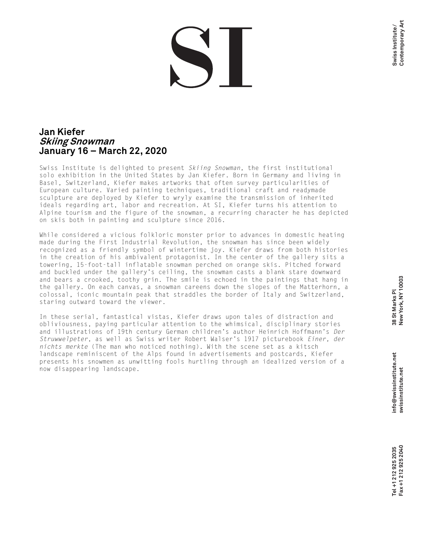## **Jan Kiefer Skiing Snowman January 16 – March 22, 2020**

Swiss Institute is delighted to present *Skiing Snowman*, the first institutional solo exhibition in the United States by Jan Kiefer. Born in Germany and living in Basel, Switzerland, Kiefer makes artworks that often survey particularities of European culture. Varied painting techniques, traditional craft and readymade sculpture are deployed by Kiefer to wryly examine the transmission of inherited ideals regarding art, labor and recreation. At SI, Kiefer turns his attention to Alpine tourism and the figure of the snowman, a recurring character he has depicted on skis both in painting and sculpture since 2016.

While considered a vicious folkloric monster prior to advances in domestic heating made during the First Industrial Revolution, the snowman has since been widely recognized as a friendly symbol of wintertime joy. Kiefer draws from both histories in the creation of his ambivalent protagonist. In the center of the gallery sits a towering, 15-foot-tall inflatable snowman perched on orange skis. Pitched forward and buckled under the gallery's ceiling, the snowman casts a blank stare downward and bears a crooked, toothy grin. The smile is echoed in the paintings that hang in the gallery. On each canvas, a snowman careens down the slopes of the Matterhorn, a colossal, iconic mountain peak that straddles the border of Italy and Switzerland, staring outward toward the viewer.

In these serial, fantastical vistas, Kiefer draws upon tales of distraction and obliviousness, paying particular attention to the whimsical, disciplinary stories and illustrations of 19th century German children's author Heinrich Hoffmann's *Der Struwwelpeter*, as well as Swiss writer Robert Walser's 1917 picturebook *Einer, der nichts merkte* (The man who noticed nothing). With the scene set as a kitsch landscape reminiscent of the Alps found in advertisements and postcards, Kiefer presents his snowmen as unwitting fools hurtling through an idealized version of a now disappearing landscape.

**Swiss Institute / Contemporary Art**

Contemporary Art Swiss Institute